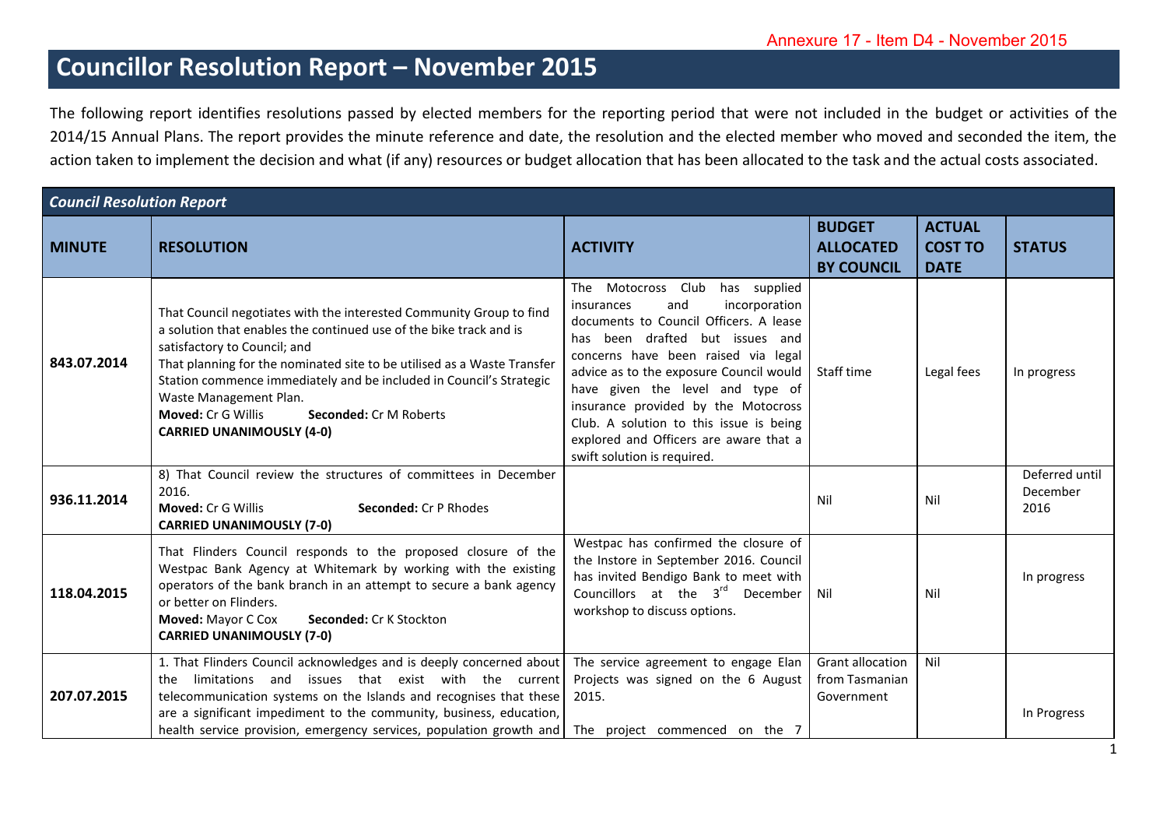## **Councillor Resolution Report – November 2015**

The following report identifies resolutions passed by elected members for the reporting period that were not included in the budget or activities of the 2014/15 Annual Plans. The report provides the minute reference and date, the resolution and the elected member who moved and seconded the item, the action taken to implement the decision and what (if any) resources or budget allocation that has been allocated to the task and the actual costs associated.

| <b>Council Resolution Report</b> |                                                                                                                                                                                                                                                                                                                                                                                                                                           |                                                                                                                                                                                                                                                                                                                                                                                                                                        |                                                         |                                                |                                    |  |
|----------------------------------|-------------------------------------------------------------------------------------------------------------------------------------------------------------------------------------------------------------------------------------------------------------------------------------------------------------------------------------------------------------------------------------------------------------------------------------------|----------------------------------------------------------------------------------------------------------------------------------------------------------------------------------------------------------------------------------------------------------------------------------------------------------------------------------------------------------------------------------------------------------------------------------------|---------------------------------------------------------|------------------------------------------------|------------------------------------|--|
| <b>MINUTE</b>                    | <b>RESOLUTION</b>                                                                                                                                                                                                                                                                                                                                                                                                                         | <b>ACTIVITY</b>                                                                                                                                                                                                                                                                                                                                                                                                                        | <b>BUDGET</b><br><b>ALLOCATED</b><br><b>BY COUNCIL</b>  | <b>ACTUAL</b><br><b>COST TO</b><br><b>DATE</b> | <b>STATUS</b>                      |  |
| 843.07.2014                      | That Council negotiates with the interested Community Group to find<br>a solution that enables the continued use of the bike track and is<br>satisfactory to Council; and<br>That planning for the nominated site to be utilised as a Waste Transfer<br>Station commence immediately and be included in Council's Strategic<br>Waste Management Plan.<br>Moved: Cr G Willis<br>Seconded: Cr M Roberts<br><b>CARRIED UNANIMOUSLY (4-0)</b> | The Motocross Club<br>has supplied<br>and<br>incorporation<br>insurances<br>documents to Council Officers. A lease<br>has been drafted but issues and<br>concerns have been raised via legal<br>advice as to the exposure Council would<br>have given the level and type of<br>insurance provided by the Motocross<br>Club. A solution to this issue is being<br>explored and Officers are aware that a<br>swift solution is required. | Staff time                                              | Legal fees                                     | In progress                        |  |
| 936.11.2014                      | 8) That Council review the structures of committees in December<br>2016.<br>Moved: Cr G Willis<br><b>Seconded: Cr P Rhodes</b><br><b>CARRIED UNANIMOUSLY (7-0)</b>                                                                                                                                                                                                                                                                        |                                                                                                                                                                                                                                                                                                                                                                                                                                        | Nil                                                     | Nil                                            | Deferred until<br>December<br>2016 |  |
| 118.04.2015                      | That Flinders Council responds to the proposed closure of the<br>Westpac Bank Agency at Whitemark by working with the existing<br>operators of the bank branch in an attempt to secure a bank agency<br>or better on Flinders.<br>Moved: Mayor C Cox<br>Seconded: Cr K Stockton<br><b>CARRIED UNANIMOUSLY (7-0)</b>                                                                                                                       | Westpac has confirmed the closure of<br>the Instore in September 2016. Council<br>has invited Bendigo Bank to meet with<br>Councillors at the 3 <sup>rd</sup> December<br>workshop to discuss options.                                                                                                                                                                                                                                 | Nil                                                     | Nil                                            | In progress                        |  |
| 207.07.2015                      | 1. That Flinders Council acknowledges and is deeply concerned about<br>limitations and issues that exist with the current<br>the<br>telecommunication systems on the Islands and recognises that these<br>are a significant impediment to the community, business, education,<br>health service provision, emergency services, population growth and The project commenced on the 7                                                       | The service agreement to engage Elan<br>Projects was signed on the 6 August<br>2015.                                                                                                                                                                                                                                                                                                                                                   | <b>Grant allocation</b><br>from Tasmanian<br>Government | Nil                                            | In Progress                        |  |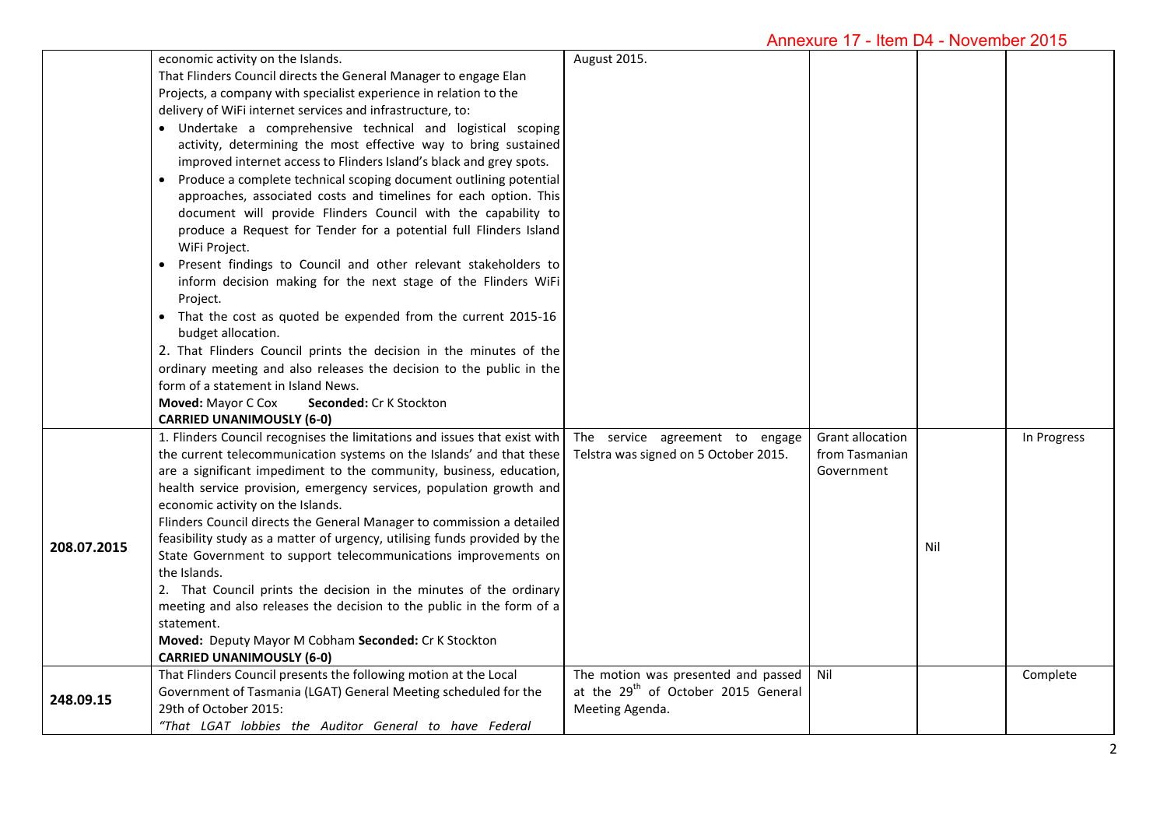|             | economic activity on the Islands.<br>That Flinders Council directs the General Manager to engage Elan<br>Projects, a company with specialist experience in relation to the<br>delivery of WiFi internet services and infrastructure, to:<br>· Undertake a comprehensive technical and logistical scoping<br>activity, determining the most effective way to bring sustained<br>improved internet access to Flinders Island's black and grey spots.<br>Produce a complete technical scoping document outlining potential<br>approaches, associated costs and timelines for each option. This<br>document will provide Flinders Council with the capability to<br>produce a Request for Tender for a potential full Flinders Island<br>WiFi Project.<br>Present findings to Council and other relevant stakeholders to<br>inform decision making for the next stage of the Flinders WiFi<br>Project.<br>• That the cost as quoted be expended from the current 2015-16<br>budget allocation.<br>2. That Flinders Council prints the decision in the minutes of the<br>ordinary meeting and also releases the decision to the public in the<br>form of a statement in Island News.<br>Moved: Mayor C Cox<br>Seconded: Cr K Stockton<br><b>CARRIED UNANIMOUSLY (6-0)</b> | August 2015.                                                                                              |                                                         |     |             |
|-------------|----------------------------------------------------------------------------------------------------------------------------------------------------------------------------------------------------------------------------------------------------------------------------------------------------------------------------------------------------------------------------------------------------------------------------------------------------------------------------------------------------------------------------------------------------------------------------------------------------------------------------------------------------------------------------------------------------------------------------------------------------------------------------------------------------------------------------------------------------------------------------------------------------------------------------------------------------------------------------------------------------------------------------------------------------------------------------------------------------------------------------------------------------------------------------------------------------------------------------------------------------------------------|-----------------------------------------------------------------------------------------------------------|---------------------------------------------------------|-----|-------------|
| 208.07.2015 | 1. Flinders Council recognises the limitations and issues that exist with<br>the current telecommunication systems on the Islands' and that these<br>are a significant impediment to the community, business, education,<br>health service provision, emergency services, population growth and<br>economic activity on the Islands.<br>Flinders Council directs the General Manager to commission a detailed<br>feasibility study as a matter of urgency, utilising funds provided by the<br>State Government to support telecommunications improvements on<br>the Islands.<br>2. That Council prints the decision in the minutes of the ordinary<br>meeting and also releases the decision to the public in the form of a<br>statement.<br>Moved: Deputy Mayor M Cobham Seconded: Cr K Stockton<br><b>CARRIED UNANIMOUSLY (6-0)</b>                                                                                                                                                                                                                                                                                                                                                                                                                                | The service agreement to engage<br>Telstra was signed on 5 October 2015.                                  | <b>Grant allocation</b><br>from Tasmanian<br>Government | Nil | In Progress |
| 248.09.15   | That Flinders Council presents the following motion at the Local<br>Government of Tasmania (LGAT) General Meeting scheduled for the<br>29th of October 2015:<br>"That LGAT lobbies the Auditor General to have Federal                                                                                                                                                                                                                                                                                                                                                                                                                                                                                                                                                                                                                                                                                                                                                                                                                                                                                                                                                                                                                                               | The motion was presented and passed<br>at the 29 <sup>th</sup> of October 2015 General<br>Meeting Agenda. | Nil                                                     |     | Complete    |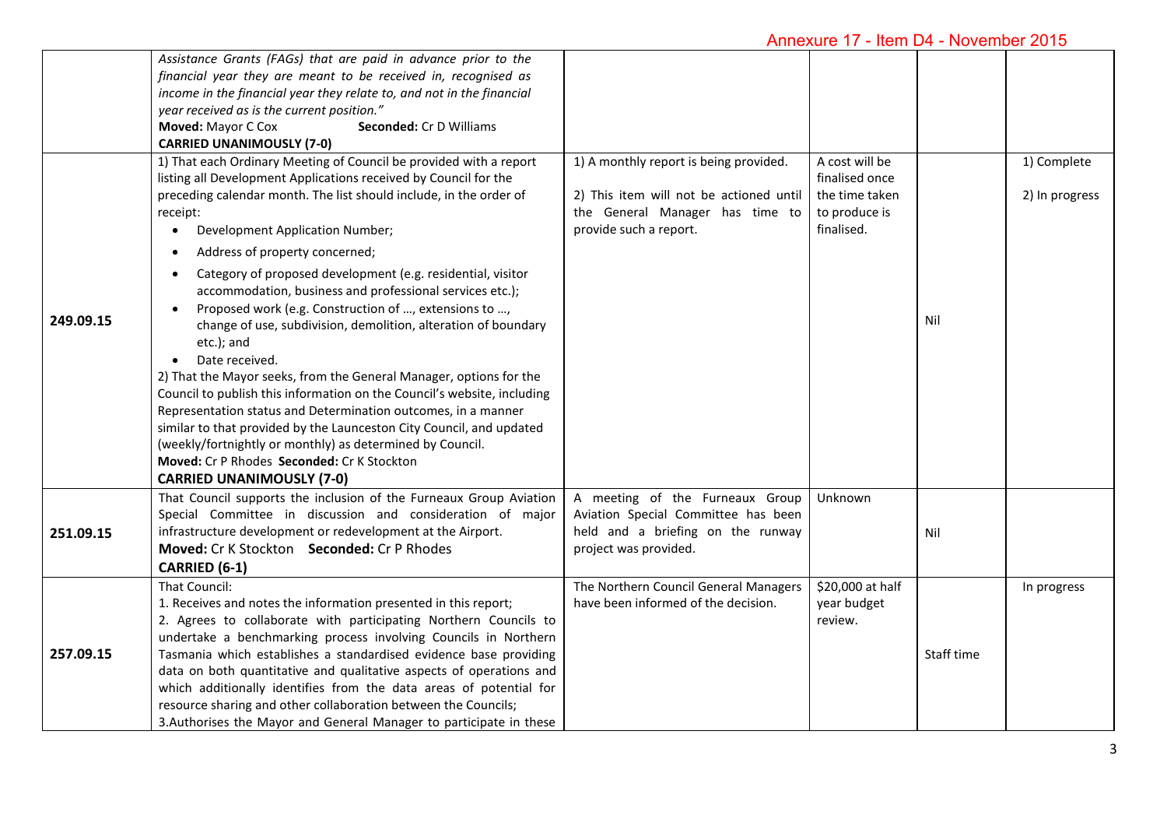|           | Assistance Grants (FAGs) that are paid in advance prior to the<br>financial year they are meant to be received in, recognised as<br>income in the financial year they relate to, and not in the financial<br>year received as is the current position."<br>Moved: Mayor C Cox<br>Seconded: Cr D Williams<br><b>CARRIED UNANIMOUSLY (7-0)</b>                                                                                                                                                                                                                                                                                                                                           |                                                                                                                                                |                                                                                   |            |                               |
|-----------|----------------------------------------------------------------------------------------------------------------------------------------------------------------------------------------------------------------------------------------------------------------------------------------------------------------------------------------------------------------------------------------------------------------------------------------------------------------------------------------------------------------------------------------------------------------------------------------------------------------------------------------------------------------------------------------|------------------------------------------------------------------------------------------------------------------------------------------------|-----------------------------------------------------------------------------------|------------|-------------------------------|
|           | 1) That each Ordinary Meeting of Council be provided with a report<br>listing all Development Applications received by Council for the<br>preceding calendar month. The list should include, in the order of<br>receipt:<br>Development Application Number;<br>$\bullet$<br>Address of property concerned;<br>$\bullet$<br>Category of proposed development (e.g. residential, visitor                                                                                                                                                                                                                                                                                                 | 1) A monthly report is being provided.<br>2) This item will not be actioned until<br>the General Manager has time to<br>provide such a report. | A cost will be<br>finalised once<br>the time taken<br>to produce is<br>finalised. |            | 1) Complete<br>2) In progress |
| 249.09.15 | $\bullet$<br>accommodation, business and professional services etc.);<br>Proposed work (e.g. Construction of , extensions to ,<br>$\bullet$<br>change of use, subdivision, demolition, alteration of boundary<br>etc.); and<br>Date received.<br>2) That the Mayor seeks, from the General Manager, options for the<br>Council to publish this information on the Council's website, including<br>Representation status and Determination outcomes, in a manner<br>similar to that provided by the Launceston City Council, and updated<br>(weekly/fortnightly or monthly) as determined by Council.<br>Moved: Cr P Rhodes Seconded: Cr K Stockton<br><b>CARRIED UNANIMOUSLY (7-0)</b> |                                                                                                                                                |                                                                                   | Nil        |                               |
| 251.09.15 | That Council supports the inclusion of the Furneaux Group Aviation<br>Special Committee in discussion and consideration of major<br>infrastructure development or redevelopment at the Airport.<br>Moved: Cr K Stockton Seconded: Cr P Rhodes<br>CARRIED (6-1)                                                                                                                                                                                                                                                                                                                                                                                                                         | A meeting of the Furneaux Group<br>Aviation Special Committee has been<br>held and a briefing on the runway<br>project was provided.           | Unknown                                                                           | Nil        |                               |
| 257.09.15 | That Council:<br>1. Receives and notes the information presented in this report;<br>2. Agrees to collaborate with participating Northern Councils to<br>undertake a benchmarking process involving Councils in Northern<br>Tasmania which establishes a standardised evidence base providing<br>data on both quantitative and qualitative aspects of operations and<br>which additionally identifies from the data areas of potential for<br>resource sharing and other collaboration between the Councils;<br>3. Authorises the Mayor and General Manager to participate in these                                                                                                     | The Northern Council General Managers<br>have been informed of the decision.                                                                   | \$20,000 at half<br>year budget<br>review.                                        | Staff time | In progress                   |